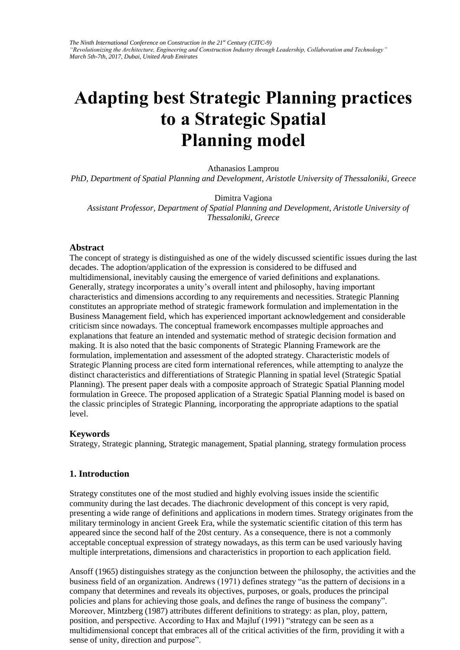*The Ninth International Conference on Construction in the 21st Century (CITC-9) "Revolutionizing the Architecture, Engineering and Construction Industry through Leadership, Collaboration and Technology" March 5th-7th, 2017, Dubai, United Arab Emirates* 

# **Adapting best Strategic Planning practices to a Strategic Spatial Planning model**

Athanasios Lamprou

*PhD, Department of Spatial Planning and Development, Aristotle University of Thessaloniki, Greece* 

Dimitra Vagiona

*Assistant Professor, Department of Spatial Planning and Development, Aristotle University of Thessaloniki, Greece* 

#### **Abstract**

The concept of strategy is distinguished as one of the widely discussed scientific issues during the last decades. The adoption/application of the expression is considered to be diffused and multidimensional, inevitably causing the emergence of varied definitions and explanations. Generally, strategy incorporates a unity's overall intent and philosophy, having important characteristics and dimensions according to any requirements and necessities. Strategic Planning constitutes an appropriate method of strategic framework formulation and implementation in the Business Management field, which has experienced important acknowledgement and considerable criticism since nowadays. The conceptual framework encompasses multiple approaches and explanations that feature an intended and systematic method of strategic decision formation and making. It is also noted that the basic components of Strategic Planning Framework are the formulation, implementation and assessment of the adopted strategy. Characteristic models of Strategic Planning process are cited form international references, while attempting to analyze the distinct characteristics and differentiations of Strategic Planning in spatial level (Strategic Spatial Planning). The present paper deals with a composite approach of Strategic Spatial Planning model formulation in Greece. The proposed application of a Strategic Spatial Planning model is based on the classic principles of Strategic Planning, incorporating the appropriate adaptions to the spatial level.

#### **Keywords**

Strategy, Strategic planning, Strategic management, Spatial planning, strategy formulation process

### **1. Introduction**

Strategy constitutes one of the most studied and highly evolving issues inside the scientific community during the last decades. The diachronic development of this concept is very rapid, presenting a wide range of definitions and applications in modern times. Strategy originates from the military terminology in ancient Greek Era, while the systematic scientific citation of this term has appeared since the second half of the 20st century. As a consequence, there is not a commonly acceptable conceptual expression of strategy nowadays, as this term can be used variously having multiple interpretations, dimensions and characteristics in proportion to each application field.

Ansoff (1965) distinguishes strategy as the conjunction between the philosophy, the activities and the business field of an organization. Andrews (1971) defines strategy "as the pattern of decisions in a company that determines and reveals its objectives, purposes, or goals, produces the principal policies and plans for achieving those goals, and defines the range of business the company". Moreover, Mintzberg (1987) attributes different definitions to strategy: as plan, ploy, pattern, position, and perspective. According to Hax and Majluf (1991) "strategy can be seen as a multidimensional concept that embraces all of the critical activities of the firm, providing it with a sense of unity, direction and purpose".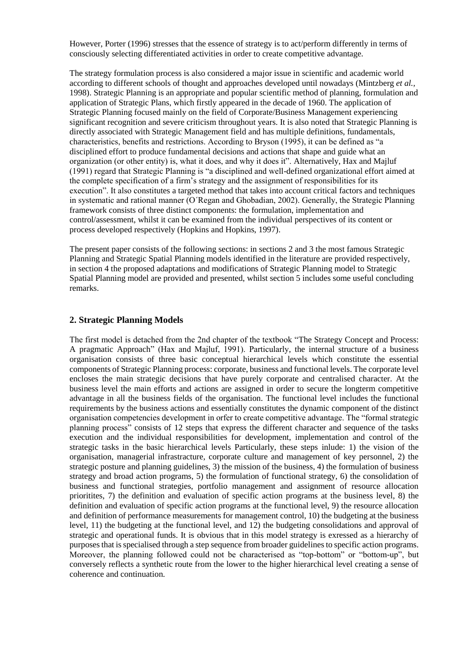However, Porter (1996) stresses that the essence of strategy is to act/perform differently in terms of consciously selecting differentiated activities in order to create competitive advantage.

The strategy formulation process is also considered a major issue in scientific and academic world according to different schools of thought and approaches developed until nowadays (Mintzberg *et al.,*  1998). Strategic Planning is an appropriate and popular scientific method of planning, formulation and application of Strategic Plans, which firstly appeared in the decade of 1960. The application of Strategic Planning focused mainly on the field of Corporate/Business Management experiencing significant recognition and severe criticism throughout years. It is also noted that Strategic Planning is directly associated with Strategic Management field and has multiple definitions, fundamentals, characteristics, benefits and restrictions. According to Bryson (1995), it can be defined as "a disciplined effort to produce fundamental decisions and actions that shape and guide what an organization (or other entity) is, what it does, and why it does it". Alternatively, Hax and Majluf (1991) regard that Strategic Planning is "a disciplined and well-defined organizational effort aimed at the complete specification of a firm's strategy and the assignment of responsibilities for its execution". It also constitutes a targeted method that takes into account critical factors and techniques in systematic and rational manner (Ο΄Regan and Ghobadian, 2002). Generally, the Strategic Planning framework consists of three distinct components: the formulation, implementation and control/assessment, whilst it can be examined from the individual perspectives of its content or process developed respectively (Hopkins and Hopkins, 1997).

The present paper consists of the following sections: in sections 2 and 3 the most famous Strategic Planning and Strategic Spatial Planning models identified in the literature are provided respectively, in section 4 the proposed adaptations and modifications of Strategic Planning model to Strategic Spatial Planning model are provided and presented, whilst section 5 includes some useful concluding remarks.

## **2. Strategic Planning Models**

The first model is detached from the 2nd chapter of the textbook "The Strategy Concept and Process: A pragmatic Approach" (Hax and Majluf, 1991). Particularly, the internal structure of a business organisation consists of three basic conceptual hierarchical levels which constitute the essential components of Strategic Planning process: corporate, business and functional levels. The corporate level encloses the main strategic decisions that have purely corporate and centralised character. At the business level the main efforts and actions are assigned in order to secure the longterm competitive advantage in all the business fields of the organisation. The functional level includes the functional requirements by the business actions and essentially constitutes the dynamic component of the distinct organisation competencies development in orfer to create competitive advantage. The "formal strategic planning process" consists of 12 steps that express the different character and sequence of the tasks execution and the individual responsibilities for development, implementation and control of the strategic tasks in the basic hierarchical levels Particularly, these steps inlude: 1) the vision of the organisation, managerial infrastracture, corporate culture and management of key personnel, 2) the strategic posture and planning guidelines, 3) the mission of the business, 4) the formulation of business strategy and broad action programs, 5) the formulation of functional strategy, 6) the consolidation of business and functional strategies, portfolio management and assignment of resource allocation prioritites, 7) the definition and evaluation of specific action programs at the business level, 8) the definition and evaluation of specific action programs at the functional level, 9) the resource allocation and definition of performance measurements for management control, 10) the budgeting at the business level, 11) the budgeting at the functional level, and 12) the budgeting consolidations and approval of strategic and operational funds. It is obvious that in this model strategy is exressed as a hierarchy of purposes that is specialised through a step sequence from broader guidelines to specific action programs. Moreover, the planning followed could not be characterised as "top-bottom" or "bottom-up", but conversely reflects a synthetic route from the lower to the higher hierarchical level creating a sense of coherence and continuation.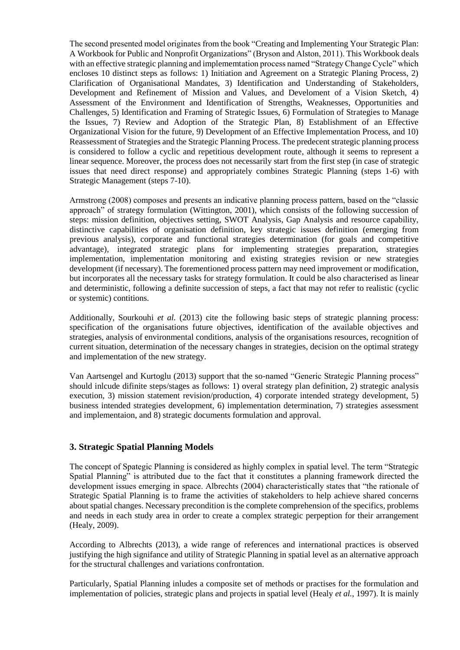The second presented model originates from the book "Creating and Implementing Your Strategic Plan: A Workbook for Public and Nonprofit Organizations" (Bryson and Alston, 2011). This Workbook deals with an effective strategic planning and implememtation process named "Strategy Change Cycle" which encloses 10 distinct steps as follows: 1) Initiation and Agreement on a Strategic Planing Process, 2) Clarification of Organisational Mandates, 3) Identification and Understanding of Stakeholders, Development and Refinement of Mission and Values, and Develoment of a Vision Sketch, 4) Assessment of the Environment and Identification of Strengths, Weaknesses, Opportunities and Challenges, 5) Identification and Framing of Strategic Issues, 6) Formulation of Strategies to Manage the Issues, 7) Review and Adoption of the Strategic Plan, 8) Establishment of an Effective Organizational Vision for the future, 9) Development of an Effective Implementation Process, and 10) Reassessment of Strategies and the Strategic Planning Process. The predecent strategic planning process is considered to follow a cyclic and repetitious development route, although it seems to represent a linear sequence. Moreover, the process does not necessarily start from the first step (in case of strategic issues that need direct response) and appropriately combines Strategic Planning (steps 1-6) with Strategic Management (steps 7-10).

Armstrong (2008) composes and presents an indicative planning process pattern, based on the "classic approach" of strategy formulation (Wittington, 2001), which consists of the following succession of steps: mission definition, objectives setting, SWOT Analysis, Gap Analysis and resource capability, distinctive capabilities of organisation definition, key strategic issues definition (emerging from previous analysis), corporate and functional strategies determination (for goals and competitive advantage), integrated strategic plans for implementing strategies preparation, strategies implementation, implementation monitoring and existing strategies revision or new strategies development (if necessary). The forementioned process pattern may need improvement or modification, but incorporates all the necessary tasks for strategy formulation. It could be also characterised as linear and deterministic, following a definite succession of steps, a fact that may not refer to realistic (cyclic or systemic) contitions.

Additionally, Sourkouhi *et al.* (2013) cite the following basic steps of strategic planning process: specification of the organisations future objectives, identification of the available objectives and strategies, analysis of environmental conditions, analysis of the organisations resources, recognition of current situation, determination of the necessary changes in strategies, decision on the optimal strategy and implementation of the new strategy.

Van Aartsengel and Kurtoglu (2013) support that the so-named "Generic Strategic Planning process" should inlcude difinite steps/stages as follows: 1) overal strategy plan definition, 2) strategic analysis execution, 3) mission statement revision/production, 4) corporate intended strategy development, 5) business intended strategies development, 6) implementation determination, 7) strategies assessment and implementaion, and 8) strategic documents formulation and approval.

## **3. Strategic Spatial Planning Models**

The concept of Spategic Planning is considered as highly complex in spatial level. The term "Strategic Spatial Planning" is attributed due to the fact that it constitutes a planning framework directed the development issues emerging in space. Albrechts (2004) characteristically states that "the rationale of Strategic Spatial Planning is to frame the activities of stakeholders to help achieve shared concerns about spatial changes. Necessary precondition is the complete comprehension of the specifics, problems and needs in each study area in order to create a complex strategic perpeption for their arrangement (Healy, 2009).

According to Albrechts (2013), a wide range of references and international practices is observed justifying the high signifance and utility of Strategic Planning in spatial level as an alternative approach for the structural challenges and variations confrontation.

Particularly, Spatial Planning inludes a composite set of methods or practises for the formulation and implementation of policies, strategic plans and projects in spatial level (Healy *et al.*, 1997). It is mainly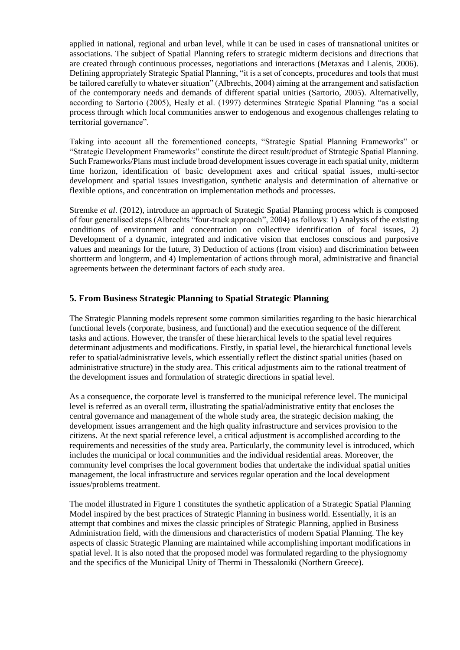applied in national, regional and urban level, while it can be used in cases of transnational unitites or associations. The subject of Spatial Planning refers to strategic midterm decisions and directions that are created through continuous processes, negotiations and interactions (Metaxas and Lalenis, 2006). Defining appropriately Strategic Spatial Planning, "it is a set of concepts, procedures and tools that must be tailored carefully to whatever situation" (Albrechts, 2004) aiming at the arrangement and satisfaction of the contemporary needs and demands of different spatial unities (Sartorio, 2005). Alternativelly, according to Sartorio (2005), Healy et al. (1997) determines Strategic Spatial Planning "as a social process through which local communities answer to endogenous and exogenous challenges relating to territorial governance".

Taking into account all the forementioned concepts, "Strategic Spatial Planning Frameworks" or "Strategic Development Frameworks" constitute the direct result/product of Strategic Spatial Planning. Such Frameworks/Plans must include broad development issues coverage in each spatial unity, midterm time horizon, identification of basic development axes and critical spatial issues, multi-sector development and spatial issues investigation, synthetic analysis and determination of alternative or flexible options, and concentration on implementation methods and processes.

Stremke *et al*. (2012), introduce an approach of Strategic Spatial Planning process which is composed of four generalised steps (Albrechts "four-track approach", 2004) as follows: 1) Analysis of the existing conditions of environment and concentration on collective identification of focal issues, 2) Development of a dynamic, integrated and indicative vision that encloses conscious and purposive values and meanings for the future, 3) Deduction of actions (from vision) and discrimination between shortterm and longterm, and 4) Implementation of actions through moral, administrative and financial agreements between the determinant factors of each study area.

## **5. From Business Strategic Planning to Spatial Strategic Planning**

The Strategic Planning models represent some common similarities regarding to the basic hierarchical functional levels (corporate, business, and functional) and the execution sequence of the different tasks and actions. However, the transfer of these hierarchical levels to the spatial level requires determinant adjustments and modifications. Firstly, in spatial level, the hierarchical functional levels refer to spatial/administrative levels, which essentially reflect the distinct spatial unities (based on administrative structure) in the study area. This critical adjustments aim to the rational treatment of the development issues and formulation of strategic directions in spatial level.

As a consequence, the corporate level is transferred to the municipal reference level. The municipal level is referred as an overall term, illustrating the spatial/administrative entity that encloses the central governance and management of the whole study area, the strategic decision making, the development issues arrangement and the high quality infrastructure and services provision to the citizens. At the next spatial reference level, a critical adjustment is accomplished according to the requirements and necessities of the study area. Particularly, the community level is introduced, which includes the municipal or local communities and the individual residential areas. Moreover, the community level comprises the local government bodies that undertake the individual spatial unities management, the local infrastructure and services regular operation and the local development issues/problems treatment.

The model illustrated in Figure 1 constitutes the synthetic application of a Strategic Spatial Planning Model inspired by the best practices of Strategic Planning in business world. Essentially, it is an attempt that combines and mixes the classic principles of Strategic Planning, applied in Business Administration field, with the dimensions and characteristics of modern Spatial Planning. The key aspects of classic Strategic Planning are maintained while accomplishing important modifications in spatial level. It is also noted that the proposed model was formulated regarding to the physiognomy and the specifics of the Municipal Unity of Thermi in Thessaloniki (Northern Greece).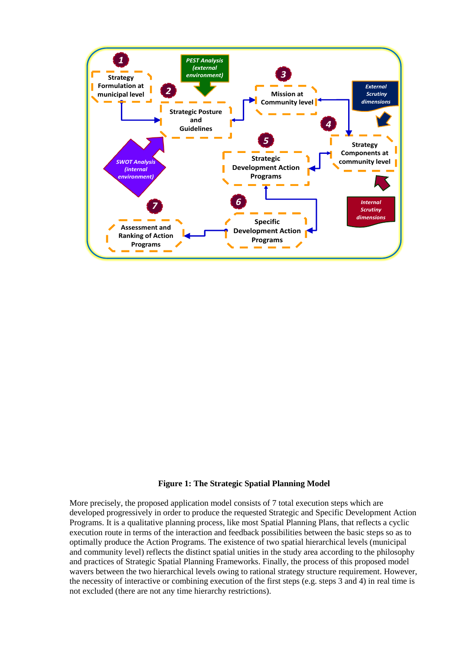

#### **Figure 1: The Strategic Spatial Planning Model**

More precisely, the proposed application model consists of 7 total execution steps which are developed progressively in order to produce the requested Strategic and Specific Development Action Programs. It is a qualitative planning process, like most Spatial Planning Plans, that reflects a cyclic execution route in terms of the interaction and feedback possibilities between the basic steps so as to optimally produce the Action Programs. The existence of two spatial hierarchical levels (municipal and community level) reflects the distinct spatial unities in the study area according to the philosophy and practices of Strategic Spatial Planning Frameworks. Finally, the process of this proposed model wavers between the two hierarchical levels owing to rational strategy structure requirement. However, the necessity of interactive or combining execution of the first steps (e.g. steps 3 and 4) in real time is not excluded (there are not any time hierarchy restrictions).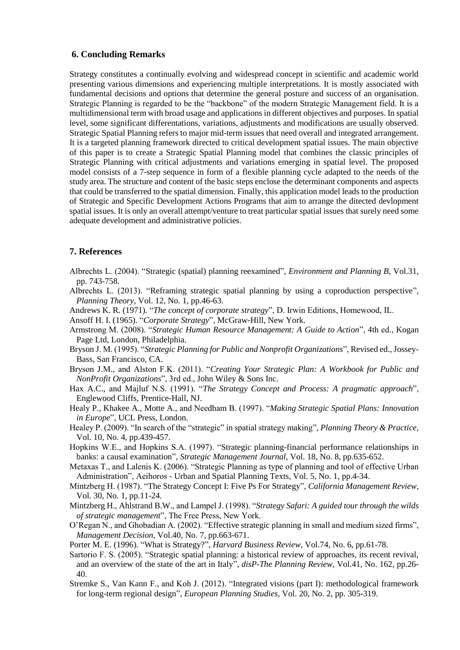## **6. Concluding Remarks**

Strategy constitutes a continually evolving and widespread concept in scientific and academic world presenting various dimensions and experiencing multiple interpretations. It is mostly associated with fundamental decisions and options that determine the general posture and success of an organisation. Strategic Planning is regarded to be the "backbone" of the modern Strategic Management field. It is a multidimensional term with broad usage and applications in different objectives and purposes. In spatial level, some significant differentations, variations, adjustments and modifications are usually observed. Strategic Spatial Planning refers to major mid-term issues that need overall and integrated arrangement. It is a targeted planning framework directed to critical development spatial issues. The main objective of this paper is to create a Strategic Spatial Planning model that combines the classic principles of Strategic Planning with critical adjustments and variations emerging in spatial level. The proposed model consists of a 7-step sequence in form of a flexible planning cycle adapted to the needs of the study area. The structure and content of the basic steps enclose the determinant components and aspects that could be transferred to the spatial dimension. Finally, this application model leads to the production of Strategic and Specific Development Actions Programs that aim to arrange the ditected devlopment spatial issues. It is only an overall attempt/venture to treat particular spatial issues that surely need some adequate development and administrative policies.

### **7. References**

- Albrechts L. (2004). "Strategic (spatial) planning reexamined", *Environment and Planning B*, Vol.31, pp. 743-758.
- Albrechts L. (2013). "Reframing strategic spatial planning by using a coproduction perspective", *Planning Theory*, Vol. 12, No. 1, pp.46-63.
- Andrews K. R. (1971). "*The concept of corporate strategy*", D. Irwin Editions, Homewood, IL.
- Ansoff H. I. (1965). "*Corporate Strategy*", McGraw-Hill, New York.
- Armstrong M. (2008). "*Strategic Human Resource Management: A Guide to Action*", 4th ed., Kogan Page Ltd, London, Philadelphia.
- Bryson J. M. (1995). "*Strategic Planning for Public and Nonprofit Organizations*", Revised ed., Jossey-Bass, San Francisco, CA.
- Bryson J.M., and Alston F.K. (2011). "*Creating Your Strategic Plan: A Workbook for Public and NonProfit Organizations*", 3rd ed., John Wiley & Sons Inc.
- Hax A.C., and Majluf N.S. (1991). "*The Strategy Concept and Process: A pragmatic approach*", Englewood Cliffs, Prentice-Hall, NJ.
- Healy P., Khakee A., Motte A., and Needham B. (1997). "*Making Strategic Spatial Plans: Innovation in Europe*", UCL Press, London.
- Healey P. (2009). "In search of the "strategic" in spatial strategy making", *Planning Theory & Practice*, Vol. 10, No. 4, pp.439-457.
- Hopkins W.E., and Hopkins S.A. (1997). "Strategic planning-financial performance relationships in banks: a causal examination", *Strategic Management Journal*, Vol. 18, No. 8, pp.635-652.
- Metaxas T., and Lalenis K. (2006). "Strategic Planning as type of planning and tool of effective Urban Administration", Aeihoros - Urban and Spatial Planning Texts, Vol. 5, No. 1, pp.4-34.
- Mintzberg H. (1987). "The Strategy Concept I: Five Ps For Strategy", *California Management Review*, Vol. 30, No. 1, pp.11-24.
- Mintzberg H., Ahlstrand B.W., and Lampel J. (1998). "*Strategy Safari: A guided tour through the wilds of strategic management*", The Free Press, New York.
- O'Regan N., and Ghobadian A. (2002). "Effective strategic planning in small and medium sized firms", *Management Decision*, Vol.40, No. 7, pp.663-671.
- Porter M. E. (1996). "What is Strategy?", *Harvard Business Review*, Vol.74, No. 6, pp.61-78.
- Sartorio F. S. (2005). "Strategic spatial planning: a historical review of approaches, its recent revival, and an overview of the state of the art in Italy", *disP-The Planning Review*, Vol.41, No. 162, pp.26- 40.
- Stremke S., Van Kann F., and Koh J. (2012). "Integrated visions (part I): methodological framework for long-term regional design", *European Planning Studies*, Vol. 20, No. 2, pp. 305-319.